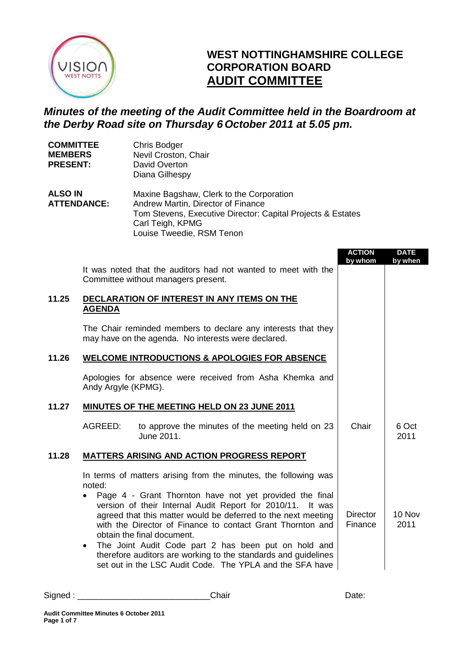

# **WEST NOTTINGHAMSHIRE COLLEGE CORPORATION BOARD AUDIT COMMITTEE**

# *Minutes of the meeting of the Audit Committee held in the Boardroom at the Derby Road site on Thursday 6 October 2011 at 5.05 pm.*

| <b>COMMITTEE</b><br><b>MEMBERS</b><br><b>PRESENT:</b> |                                  | Chris Bodger<br>Nevil Croston, Chair<br>David Overton<br>Diana Gilhespy                                                                                                                                                                                                                                                                                                                                                                                                                                                                     |                            |                        |
|-------------------------------------------------------|----------------------------------|---------------------------------------------------------------------------------------------------------------------------------------------------------------------------------------------------------------------------------------------------------------------------------------------------------------------------------------------------------------------------------------------------------------------------------------------------------------------------------------------------------------------------------------------|----------------------------|------------------------|
| <b>ALSO IN</b><br><b>ATTENDANCE:</b>                  |                                  | Maxine Bagshaw, Clerk to the Corporation<br>Andrew Martin, Director of Finance<br>Tom Stevens, Executive Director: Capital Projects & Estates<br>Carl Teigh, KPMG<br>Louise Tweedie, RSM Tenon                                                                                                                                                                                                                                                                                                                                              |                            |                        |
|                                                       |                                  | It was noted that the auditors had not wanted to meet with the<br>Committee without managers present.                                                                                                                                                                                                                                                                                                                                                                                                                                       | <b>ACTION</b><br>by whom   | <b>DATE</b><br>by when |
| 11.25                                                 | <b>AGENDA</b>                    | DECLARATION OF INTEREST IN ANY ITEMS ON THE                                                                                                                                                                                                                                                                                                                                                                                                                                                                                                 |                            |                        |
|                                                       |                                  | The Chair reminded members to declare any interests that they<br>may have on the agenda. No interests were declared.                                                                                                                                                                                                                                                                                                                                                                                                                        |                            |                        |
| 11.26                                                 |                                  | <b>WELCOME INTRODUCTIONS &amp; APOLOGIES FOR ABSENCE</b>                                                                                                                                                                                                                                                                                                                                                                                                                                                                                    |                            |                        |
|                                                       | Andy Argyle (KPMG).              | Apologies for absence were received from Asha Khemka and                                                                                                                                                                                                                                                                                                                                                                                                                                                                                    |                            |                        |
| 11.27                                                 |                                  | <b>MINUTES OF THE MEETING HELD ON 23 JUNE 2011</b>                                                                                                                                                                                                                                                                                                                                                                                                                                                                                          |                            |                        |
|                                                       | AGREED:                          | to approve the minutes of the meeting held on 23<br>June 2011.                                                                                                                                                                                                                                                                                                                                                                                                                                                                              | Chair                      | 6 Oct<br>2011          |
| 11.28                                                 |                                  | <b>MATTERS ARISING AND ACTION PROGRESS REPORT</b>                                                                                                                                                                                                                                                                                                                                                                                                                                                                                           |                            |                        |
|                                                       | noted.<br>$\bullet$<br>$\bullet$ | In terms of matters arising from the minutes, the following was<br>Page 4 - Grant Thornton have not yet provided the final<br>version of their Internal Audit Report for 2010/11. It was<br>agreed that this matter would be deferred to the next meeting<br>with the Director of Finance to contact Grant Thornton and<br>obtain the final document.<br>The Joint Audit Code part 2 has been put on hold and<br>therefore auditors are working to the standards and guidelines<br>set out in the LSC Audit Code. The YPLA and the SFA have | <b>Director</b><br>Finance | 10 Nov<br>2011         |

| Signed | יים |  |
|--------|-----|--|
|        |     |  |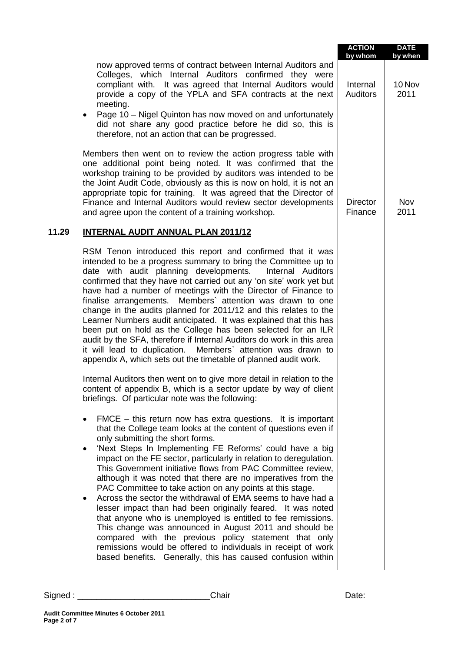|       |                                                                                                                                                                                                                                                                                                                                                                                                                                                                                                                                                                                                                                                                                                                                                                                                                                                                                                                                                                   | <b>ACTION</b><br>by whom    | <b>DATE</b><br>by when |
|-------|-------------------------------------------------------------------------------------------------------------------------------------------------------------------------------------------------------------------------------------------------------------------------------------------------------------------------------------------------------------------------------------------------------------------------------------------------------------------------------------------------------------------------------------------------------------------------------------------------------------------------------------------------------------------------------------------------------------------------------------------------------------------------------------------------------------------------------------------------------------------------------------------------------------------------------------------------------------------|-----------------------------|------------------------|
|       | now approved terms of contract between Internal Auditors and<br>Colleges, which Internal Auditors confirmed they were<br>compliant with. It was agreed that Internal Auditors would<br>provide a copy of the YPLA and SFA contracts at the next<br>meeting.<br>Page 10 - Nigel Quinton has now moved on and unfortunately<br>did not share any good practice before he did so, this is<br>therefore, not an action that can be progressed.                                                                                                                                                                                                                                                                                                                                                                                                                                                                                                                        | Internal<br><b>Auditors</b> | 10 Nov<br>2011         |
|       | Members then went on to review the action progress table with<br>one additional point being noted. It was confirmed that the<br>workshop training to be provided by auditors was intended to be<br>the Joint Audit Code, obviously as this is now on hold, it is not an<br>appropriate topic for training. It was agreed that the Director of<br>Finance and Internal Auditors would review sector developments<br>and agree upon the content of a training workshop.                                                                                                                                                                                                                                                                                                                                                                                                                                                                                             | <b>Director</b><br>Finance  | Nov<br>2011            |
| 11.29 | INTERNAL AUDIT ANNUAL PLAN 2011/12                                                                                                                                                                                                                                                                                                                                                                                                                                                                                                                                                                                                                                                                                                                                                                                                                                                                                                                                |                             |                        |
|       | RSM Tenon introduced this report and confirmed that it was<br>intended to be a progress summary to bring the Committee up to<br>date with audit planning developments.<br>Internal Auditors<br>confirmed that they have not carried out any 'on site' work yet but<br>have had a number of meetings with the Director of Finance to<br>finalise arrangements. Members' attention was drawn to one<br>change in the audits planned for 2011/12 and this relates to the<br>Learner Numbers audit anticipated. It was explained that this has<br>been put on hold as the College has been selected for an ILR<br>audit by the SFA, therefore if Internal Auditors do work in this area<br>Members' attention was drawn to<br>it will lead to duplication.<br>appendix A, which sets out the timetable of planned audit work.                                                                                                                                         |                             |                        |
|       | Internal Auditors then went on to give more detail in relation to the<br>content of appendix B, which is a sector update by way of client<br>briefings. Of particular note was the following:                                                                                                                                                                                                                                                                                                                                                                                                                                                                                                                                                                                                                                                                                                                                                                     |                             |                        |
|       | $\mathsf{FMCE}$ – this return now has extra questions. It is important<br>that the College team looks at the content of questions even if<br>only submitting the short forms.<br>'Next Steps In Implementing FE Reforms' could have a big<br>impact on the FE sector, particularly in relation to deregulation.<br>This Government initiative flows from PAC Committee review,<br>although it was noted that there are no imperatives from the<br>PAC Committee to take action on any points at this stage.<br>Across the sector the withdrawal of EMA seems to have had a<br>٠<br>lesser impact than had been originally feared. It was noted<br>that anyone who is unemployed is entitled to fee remissions.<br>This change was announced in August 2011 and should be<br>compared with the previous policy statement that only<br>remissions would be offered to individuals in receipt of work<br>based benefits. Generally, this has caused confusion within |                             |                        |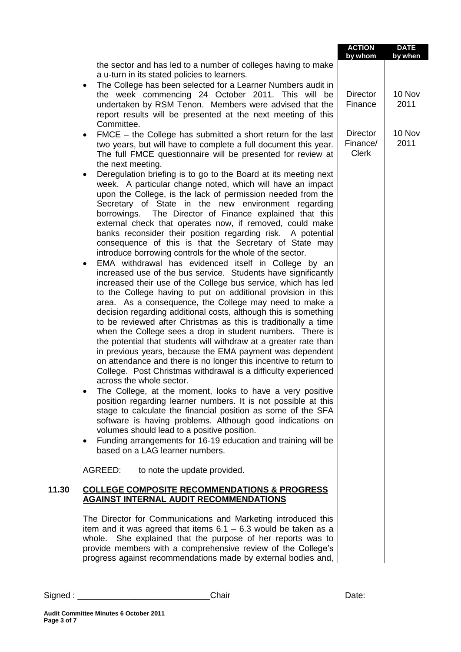|       |                                                                                                                                                                                                                                                                                                                                                                                                                                                                                                                                                                                                                                                                                                                                                                                                                                                                                                                                                                                                                                                                                                                                                                                                                                                                                                                                                                                                                                                                                                                                                                                                                                                                                                     | <b>ACTION</b><br>by whom                    | <b>DATE</b><br>by when |
|-------|-----------------------------------------------------------------------------------------------------------------------------------------------------------------------------------------------------------------------------------------------------------------------------------------------------------------------------------------------------------------------------------------------------------------------------------------------------------------------------------------------------------------------------------------------------------------------------------------------------------------------------------------------------------------------------------------------------------------------------------------------------------------------------------------------------------------------------------------------------------------------------------------------------------------------------------------------------------------------------------------------------------------------------------------------------------------------------------------------------------------------------------------------------------------------------------------------------------------------------------------------------------------------------------------------------------------------------------------------------------------------------------------------------------------------------------------------------------------------------------------------------------------------------------------------------------------------------------------------------------------------------------------------------------------------------------------------------|---------------------------------------------|------------------------|
|       | the sector and has led to a number of colleges having to make<br>a u-turn in its stated policies to learners.<br>The College has been selected for a Learner Numbers audit in<br>$\bullet$                                                                                                                                                                                                                                                                                                                                                                                                                                                                                                                                                                                                                                                                                                                                                                                                                                                                                                                                                                                                                                                                                                                                                                                                                                                                                                                                                                                                                                                                                                          |                                             |                        |
|       | the week commencing 24 October 2011. This will be<br>undertaken by RSM Tenon. Members were advised that the<br>report results will be presented at the next meeting of this<br>Committee.                                                                                                                                                                                                                                                                                                                                                                                                                                                                                                                                                                                                                                                                                                                                                                                                                                                                                                                                                                                                                                                                                                                                                                                                                                                                                                                                                                                                                                                                                                           | <b>Director</b><br>Finance                  | 10 Nov<br>2011         |
|       | FMCE - the College has submitted a short return for the last<br>٠<br>two years, but will have to complete a full document this year.<br>The full FMCE questionnaire will be presented for review at<br>the next meeting.                                                                                                                                                                                                                                                                                                                                                                                                                                                                                                                                                                                                                                                                                                                                                                                                                                                                                                                                                                                                                                                                                                                                                                                                                                                                                                                                                                                                                                                                            | <b>Director</b><br>Finance/<br><b>Clerk</b> | 10 Nov<br>2011         |
|       | Deregulation briefing is to go to the Board at its meeting next<br>week. A particular change noted, which will have an impact<br>upon the College, is the lack of permission needed from the<br>Secretary of State in the new environment regarding<br>borrowings. The Director of Finance explained that this<br>external check that operates now, if removed, could make<br>banks reconsider their position regarding risk. A potential<br>consequence of this is that the Secretary of State may<br>introduce borrowing controls for the whole of the sector.<br>EMA withdrawal has evidenced itself in College by an<br>increased use of the bus service. Students have significantly<br>increased their use of the College bus service, which has led<br>to the College having to put on additional provision in this<br>area. As a consequence, the College may need to make a<br>decision regarding additional costs, although this is something<br>to be reviewed after Christmas as this is traditionally a time<br>when the College sees a drop in student numbers. There is<br>the potential that students will withdraw at a greater rate than<br>in previous years, because the EMA payment was dependent<br>on attendance and there is no longer this incentive to return to<br>College. Post Christmas withdrawal is a difficulty experienced<br>across the whole sector.<br>The College, at the moment, looks to have a very positive<br>position regarding learner numbers. It is not possible at this<br>stage to calculate the financial position as some of the SFA<br>software is having problems. Although good indications on<br>volumes should lead to a positive position. |                                             |                        |
|       | Funding arrangements for 16-19 education and training will be<br>$\bullet$<br>based on a LAG learner numbers.                                                                                                                                                                                                                                                                                                                                                                                                                                                                                                                                                                                                                                                                                                                                                                                                                                                                                                                                                                                                                                                                                                                                                                                                                                                                                                                                                                                                                                                                                                                                                                                       |                                             |                        |
|       | AGREED:<br>to note the update provided.                                                                                                                                                                                                                                                                                                                                                                                                                                                                                                                                                                                                                                                                                                                                                                                                                                                                                                                                                                                                                                                                                                                                                                                                                                                                                                                                                                                                                                                                                                                                                                                                                                                             |                                             |                        |
| 11.30 | <b>COLLEGE COMPOSITE RECOMMENDATIONS &amp; PROGRESS</b><br><b>AGAINST INTERNAL AUDIT RECOMMENDATIONS</b>                                                                                                                                                                                                                                                                                                                                                                                                                                                                                                                                                                                                                                                                                                                                                                                                                                                                                                                                                                                                                                                                                                                                                                                                                                                                                                                                                                                                                                                                                                                                                                                            |                                             |                        |
|       | The Director for Communications and Marketing introduced this<br>item and it was agreed that items $6.1 - 6.3$ would be taken as a<br>whole. She explained that the purpose of her reports was to<br>provide members with a comprehensive review of the College's<br>progress against recommendations made by external bodies and,                                                                                                                                                                                                                                                                                                                                                                                                                                                                                                                                                                                                                                                                                                                                                                                                                                                                                                                                                                                                                                                                                                                                                                                                                                                                                                                                                                  |                                             |                        |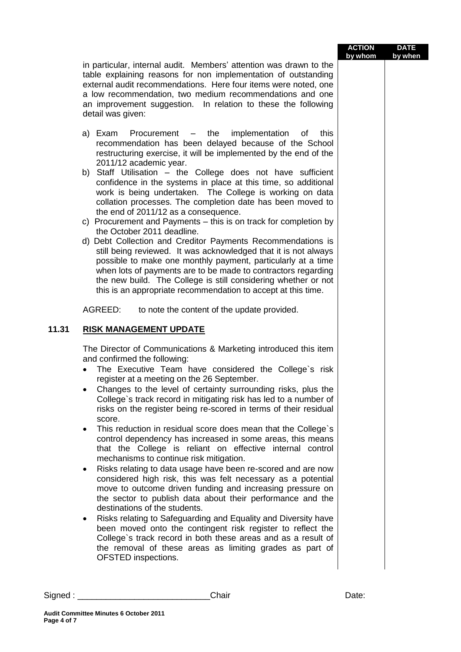| <b>ACTION</b> | <b>DATE</b> |
|---------------|-------------|
| by whom       | by when     |

in particular, internal audit. Members' attention was drawn to the table explaining reasons for non implementation of outstanding external audit recommendations. Here four items were noted, one a low recommendation, two medium recommendations and one an improvement suggestion. In relation to these the following detail was given:

- a) Exam Procurement the implementation of this recommendation has been delayed because of the School restructuring exercise, it will be implemented by the end of the 2011/12 academic year.
- b) Staff Utilisation the College does not have sufficient confidence in the systems in place at this time, so additional work is being undertaken. The College is working on data collation processes. The completion date has been moved to the end of 2011/12 as a consequence.
- c) Procurement and Payments this is on track for completion by the October 2011 deadline.
- d) Debt Collection and Creditor Payments Recommendations is still being reviewed. It was acknowledged that it is not always possible to make one monthly payment, particularly at a time when lots of payments are to be made to contractors regarding the new build. The College is still considering whether or not this is an appropriate recommendation to accept at this time.

AGREED: to note the content of the update provided.

## **11.31 RISK MANAGEMENT UPDATE**

The Director of Communications & Marketing introduced this item and confirmed the following:

- The Executive Team have considered the College`s risk register at a meeting on the 26 September.
- Changes to the level of certainty surrounding risks, plus the College`s track record in mitigating risk has led to a number of risks on the register being re-scored in terms of their residual score.
- This reduction in residual score does mean that the College's control dependency has increased in some areas, this means that the College is reliant on effective internal control mechanisms to continue risk mitigation.
- Risks relating to data usage have been re-scored and are now considered high risk, this was felt necessary as a potential move to outcome driven funding and increasing pressure on the sector to publish data about their performance and the destinations of the students.
- Risks relating to Safeguarding and Equality and Diversity have been moved onto the contingent risk register to reflect the College`s track record in both these areas and as a result of the removal of these areas as limiting grades as part of OFSTED inspections.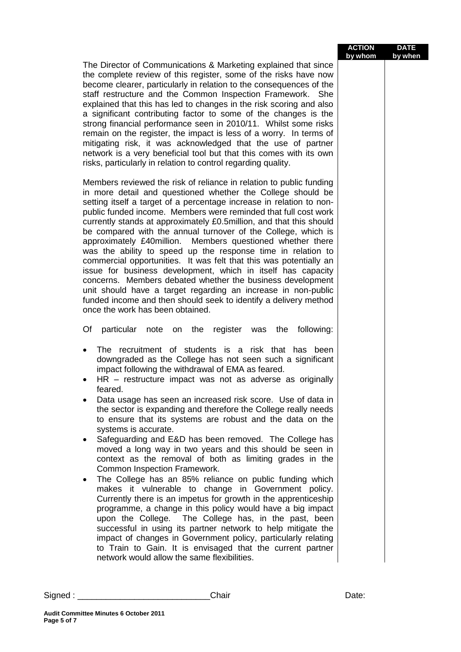| <b>ACTION</b> | <b>DATE</b> |
|---------------|-------------|
| by whom       | by when     |

The Director of Communications & Marketing explained that since the complete review of this register, some of the risks have now become clearer, particularly in relation to the consequences of the staff restructure and the Common Inspection Framework. She explained that this has led to changes in the risk scoring and also a significant contributing factor to some of the changes is the strong financial performance seen in 2010/11. Whilst some risks remain on the register, the impact is less of a worry. In terms of mitigating risk, it was acknowledged that the use of partner network is a very beneficial tool but that this comes with its own risks, particularly in relation to control regarding quality.

Members reviewed the risk of reliance in relation to public funding in more detail and questioned whether the College should be setting itself a target of a percentage increase in relation to nonpublic funded income. Members were reminded that full cost work currently stands at approximately £0.5million, and that this should be compared with the annual turnover of the College, which is approximately £40million. Members questioned whether there was the ability to speed up the response time in relation to commercial opportunities. It was felt that this was potentially an issue for business development, which in itself has capacity concerns. Members debated whether the business development unit should have a target regarding an increase in non-public funded income and then should seek to identify a delivery method once the work has been obtained.

Of particular note on the register was the following:

- The recruitment of students is a risk that has been downgraded as the College has not seen such a significant impact following the withdrawal of EMA as feared.
- HR restructure impact was not as adverse as originally feared.
- Data usage has seen an increased risk score. Use of data in the sector is expanding and therefore the College really needs to ensure that its systems are robust and the data on the systems is accurate.
- Safeguarding and E&D has been removed. The College has moved a long way in two years and this should be seen in context as the removal of both as limiting grades in the Common Inspection Framework.
- The College has an 85% reliance on public funding which makes it vulnerable to change in Government policy. Currently there is an impetus for growth in the apprenticeship programme, a change in this policy would have a big impact upon the College. The College has, in the past, been successful in using its partner network to help mitigate the impact of changes in Government policy, particularly relating to Train to Gain. It is envisaged that the current partner network would allow the same flexibilities.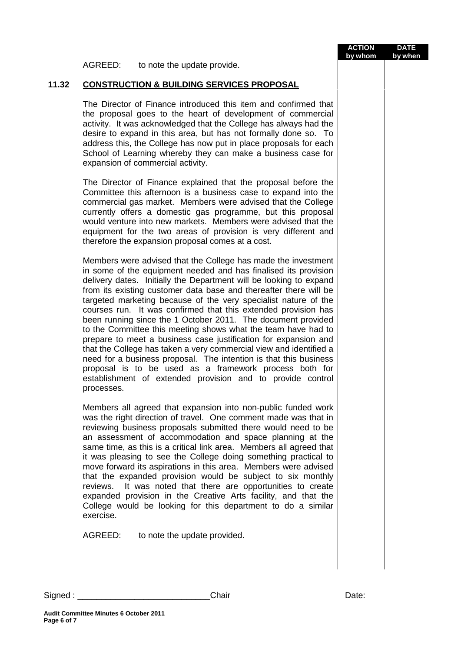AGREED: to note the update provide.

# **11.32 CONSTRUCTION & BUILDING SERVICES PROPOSAL**

The Director of Finance introduced this item and confirmed that the proposal goes to the heart of development of commercial activity. It was acknowledged that the College has always had the desire to expand in this area, but has not formally done so. To address this, the College has now put in place proposals for each School of Learning whereby they can make a business case for expansion of commercial activity.

The Director of Finance explained that the proposal before the Committee this afternoon is a business case to expand into the commercial gas market. Members were advised that the College currently offers a domestic gas programme, but this proposal would venture into new markets. Members were advised that the equipment for the two areas of provision is very different and therefore the expansion proposal comes at a cost.

Members were advised that the College has made the investment in some of the equipment needed and has finalised its provision delivery dates. Initially the Department will be looking to expand from its existing customer data base and thereafter there will be targeted marketing because of the very specialist nature of the courses run. It was confirmed that this extended provision has been running since the 1 October 2011. The document provided to the Committee this meeting shows what the team have had to prepare to meet a business case justification for expansion and that the College has taken a very commercial view and identified a need for a business proposal. The intention is that this business proposal is to be used as a framework process both for establishment of extended provision and to provide control processes.

Members all agreed that expansion into non-public funded work was the right direction of travel. One comment made was that in reviewing business proposals submitted there would need to be an assessment of accommodation and space planning at the same time, as this is a critical link area. Members all agreed that it was pleasing to see the College doing something practical to move forward its aspirations in this area. Members were advised that the expanded provision would be subject to six monthly reviews. It was noted that there are opportunities to create expanded provision in the Creative Arts facility, and that the College would be looking for this department to do a similar exercise.

AGREED: to note the update provided.